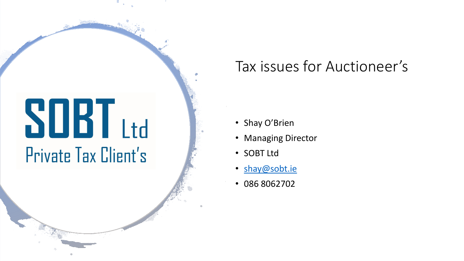# **SOBT** Ltd Private Tax Client's

## Tax issues for Auctioneer's

- Shay O'Brien
- Managing Director
- SOBT Ltd
- [shay@sobt.ie](mailto:shay@sobt.ie)
- 086 8062702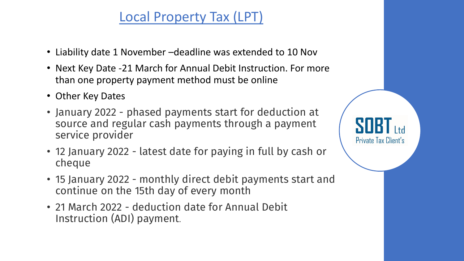## Local Property Tax (LPT)

- Liability date 1 November –deadline was extended to 10 Nov
- Next Key Date -21 March for Annual Debit Instruction. For more than one property payment method must be online
- Other Key Dates
- January 2022 phased payments start for deduction at source and regular cash payments through a payment service provider
- 12 January 2022 latest date for paying in full by cash or cheque
- 15 January 2022 monthly direct debit payments start and continue on the 15th day of every month
- 21 March 2022 deduction date for Annual Debit Instruction (ADI) payment.

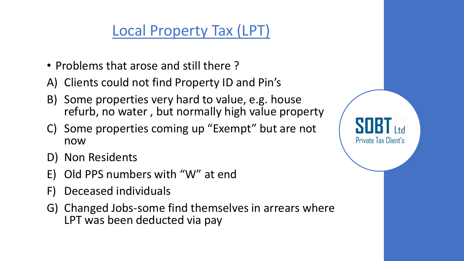## Local Property Tax (LPT)

- Problems that arose and still there ?
- A) Clients could not find Property ID and Pin's
- B) Some properties very hard to value, e.g. house refurb, no water , but normally high value property
- C) Some properties coming up "Exempt" but are not now

Private Tax Client's

- D) Non Residents
- E) Old PPS numbers with "W" at end
- F) Deceased individuals
- G) Changed Jobs-some find themselves in arrears where LPT was been deducted via pay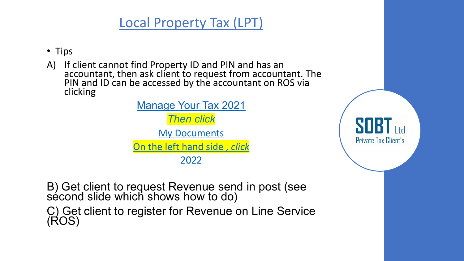### Local Property Tax (LPT)

- Tips
- A) If client cannot find Property ID and PIN and has an accountant, then ask client to request from accountant. The PIN and ID can be accessed by the accountant on ROS via clicking

[Manage Your Tax 2021](https://www.ros.ie/rcw/redirectController/redirect/payeonline.launchurl/) *Then click* [My Documents](https://www.ros.ie/paye-online-web/pos_overview?execution=e1s1&_eventId=launchMyDocuments) [On the left hand side ,](https://www.ros.ie/paye-online-web/pos_overview?execution=e1s1&_eventId=launchMyDocuments) *click* [2022](https://www.ros.ie/mydocuments-web/overview?execution=e1s1&_eventId=year&year=2022)

B) Get client to request Revenue send in post (see sécond slide which shows how to do) C) Get client to register for Revenue on Line Service (ROS)

SOR Private Tax Client's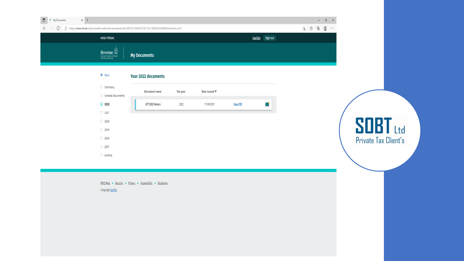

#### $\leftarrow$  Back Your 2022 documents

| Summary                | <b>Document name</b> | <b>Tax year</b> | Date issued <b>↓</b> |                 |   |
|------------------------|----------------------|-----------------|----------------------|-----------------|---|
| Unread documents<br>п. |                      |                 |                      |                 |   |
| $\Box$ 2022            | LPT 2022 Return      | 2022            | 11/09/2021           | <b>View PDF</b> | ∨ |
| $\Box$ 2021            |                      |                 |                      |                 |   |
| $\Box$ 2020            |                      |                 |                      |                 |   |
| $\Box$ 2019            |                      |                 |                      |                 |   |
| $\Box$ 2018            |                      |                 |                      |                 |   |
| $\Box$ 2017            |                      |                 |                      |                 |   |
| $\Box$ Archive         |                      |                 |                      |                 |   |

PAYE Help . Security . Privacy . Accessibility . Disclaimer Language Gaeilge

**SOBT** Ltd Private Tax Client's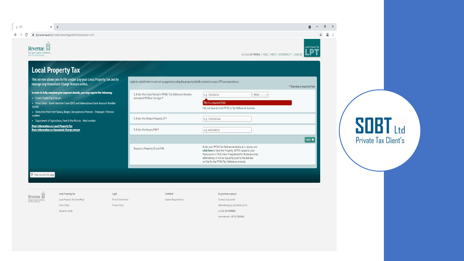

**SOBT** Ltd Private Tax Client's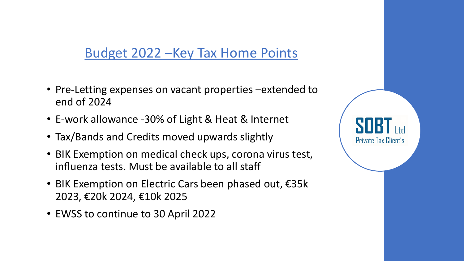Budget 2022 –Key Tax Home Points

- Pre-Letting expenses on vacant properties –extended to end of 2024
- E-work allowance -30% of Light & Heat & Internet
- Tax/Bands and Credits moved upwards slightly
- BIK Exemption on medical check ups, corona virus test, influenza tests. Must be available to all staff

Private Tax Client's

- BIK Exemption on Electric Cars been phased out, €35k 2023, €20k 2024, €10k 2025
- EWSS to continue to 30 April 2022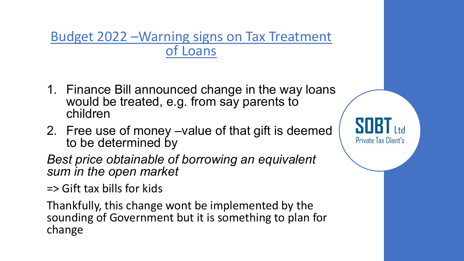Budget 2022 –Warning signs on Tax Treatment of Loans

- 1. Finance Bill announced change in the way loans would be treated, e.g. from say parents to children
- 2. Free use of money –value of that gift is deemed to be determined by

Private Tax Client's

*Best price obtainable of borrowing an equivalent sum in the open market*

=> Gift tax bills for kids

Thankfully, this change wont be implemented by the sounding of Government but it is something to plan for change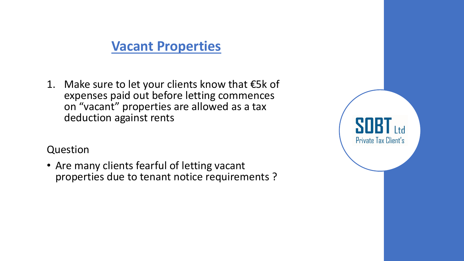#### **Vacant Properties**

1. Make sure to let your clients know that  $€5k$  of expenses paid out before letting commences on "vacant" properties are allowed as a tax deduction against rents

#### Question

• Are many clients fearful of letting vacant properties due to tenant notice requirements ?

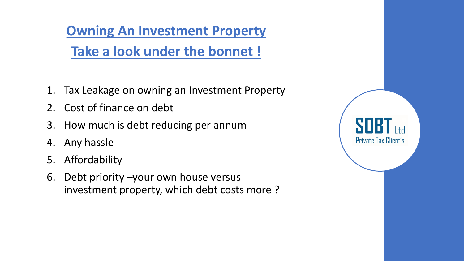**Owning An Investment Property Take a look under the bonnet !**

- 1. Tax Leakage on owning an Investment Property
- 2. Cost of finance on debt
- 3. How much is debt reducing per annum
- 4. Any hassle
- 5. Affordability
- 6. Debt priority –your own house versus investment property, which debt costs more ?

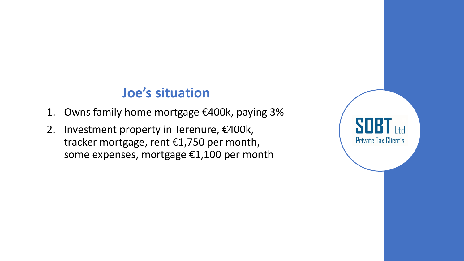#### **Joe's situation**

- 1. Owns family home mortgage €400k, paying 3%
- 2. Investment property in Terenure, €400k, tracker mortgage, rent €1,750 per month, some expenses, mortgage €1,100 per month

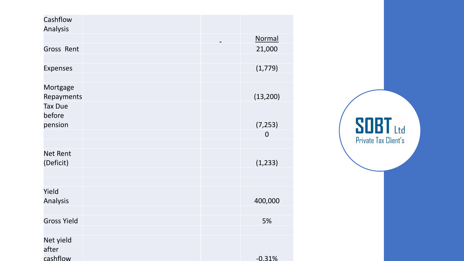| Cashflow<br><b>Analysis</b>    |  |             |
|--------------------------------|--|-------------|
|                                |  | Normal      |
| <b>Gross Rent</b>              |  | 21,000      |
| <b>Expenses</b>                |  | (1, 779)    |
| Mortgage<br>Repayments         |  | (13, 200)   |
| <b>Tax Due</b><br>before       |  |             |
| pension                        |  | (7, 253)    |
|                                |  | $\mathbf 0$ |
|                                |  |             |
| <b>Net Rent</b><br>(Deficit)   |  | (1, 233)    |
|                                |  |             |
| Yield<br><b>Analysis</b>       |  | 400,000     |
| <b>Gross Yield</b>             |  | 5%          |
| Net yield<br>after<br>cashflow |  | $-0.31%$    |

 $S$  $B$  $I$ <sub>Ltd</sub><br>Private Tax Client's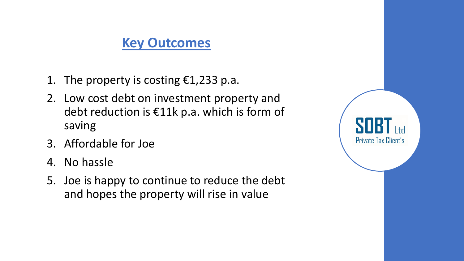#### **Key Outcomes**

- 1. The property is costing  $\epsilon$ 1,233 p.a.
- 2. Low cost debt on investment property and debt reduction is €11k p.a. which is form of saving
- 3. Affordable for Joe
- 4. No hassle
- 5. Joe is happy to continue to reduce the debt and hopes the property will rise in value

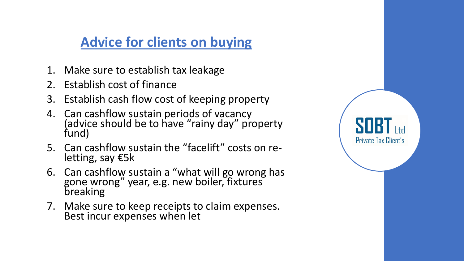## **Advice for clients on buying**

- 1. Make sure to establish tax leakage
- 2. Establish cost of finance
- 3. Establish cash flow cost of keeping property
- 4. Can cashflow sustain periods of vacancy (advice should be to have "rainy day" property fund)
- 5. Can cashflow sustain the "facelift" costs on re- letting, say €5k

Private Tax Client's

- 6. Can cashflow sustain a "what will go wrong has gone wrong" year, e.g. new boiler, fixtures breaking
- 7. Make sure to keep receipts to claim expenses. Best incur expenses when let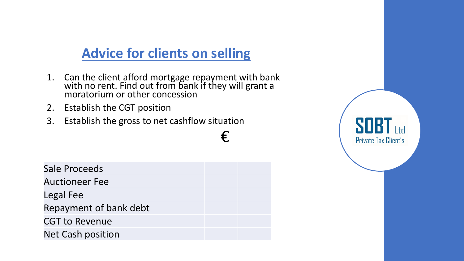## **Advice for clients on selling**

1. Can the client afford mortgage repayment with bank with no rent. Find out from bank if they will grant a moratorium or other concession

€

- 2. Establish the CGT position
- 3. Establish the gross to net cashflow situation

| Sale Proceeds            |  |
|--------------------------|--|
| <b>Auctioneer Fee</b>    |  |
| Legal Fee                |  |
| Repayment of bank debt   |  |
| <b>CGT to Revenue</b>    |  |
| <b>Net Cash position</b> |  |

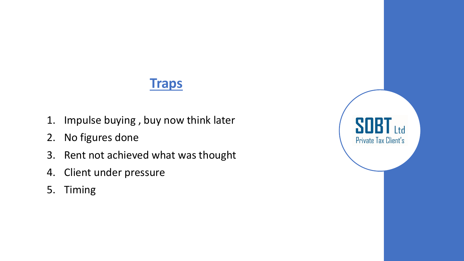#### **Traps**

- 1. Impulse buying , buy now think later
- 2. No figures done
- 3. Rent not achieved what was thought
- 4. Client under pressure
- 5. Timing

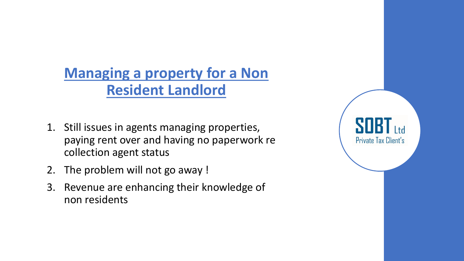## **Managing a property for a Non Resident Landlord**

- 1. Still issues in agents managing properties, paying rent over and having no paperwork re collection agent status
- 2. The problem will not go away !
- 3. Revenue are enhancing their knowledge of non residents

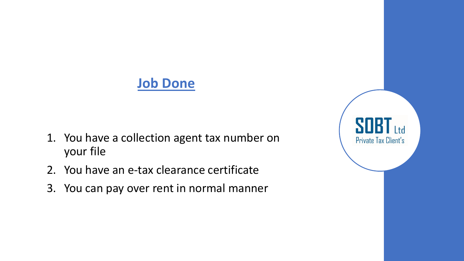#### **Job Done**

- 1. You have a collection agent tax number on your file
- 2. You have an e-tax clearance certificate
- 3. You can pay over rent in normal manner

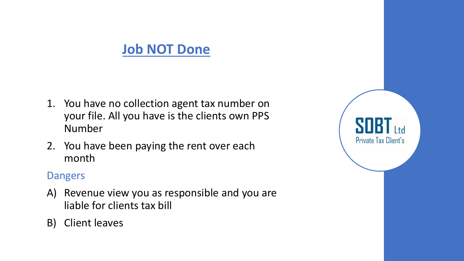#### **Job NOT Done**

- 1. You have no collection agent tax number on your file. All you have is the clients own PPS Number
- 2. You have been paying the rent over each month

#### Dangers

- A) Revenue view you as responsible and you are liable for clients tax bill
- B) Client leaves

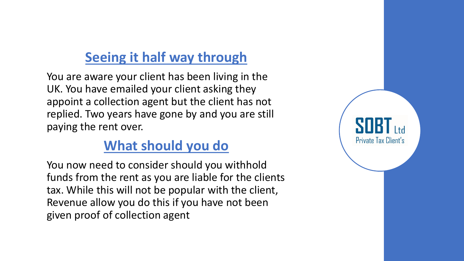## **Seeing it half way through**

You are aware your client has been living in the UK. You have emailed your client asking they appoint a collection agent but the client has not replied. Two years have gone by and you are still paying the rent over.

## **What should you do**

You now need to consider should you withhold funds from the rent as you are liable for the clients tax. While this will not be popular with the client, Revenue allow you do this if you have not been given proof of collection agent

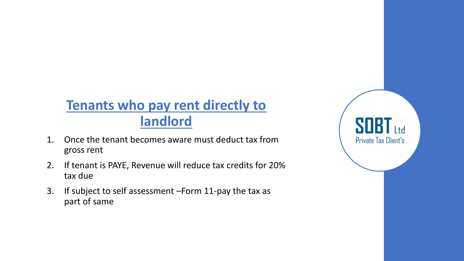## **Tenants who pay rent directly to landlord**

- 1. Once the tenant becomes aware must deduct tax from gross rent
- 2. If tenant is PAYE, Revenue will reduce tax credits for 20% tax due
- 3. If subject to self assessment –Form 11-pay the tax as part of same

SOBT <sub>1</sub> Private Tax Client's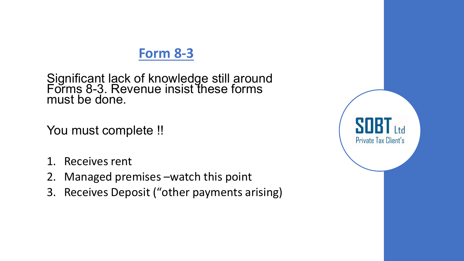#### **Form 8-3**

Significant lack of knowledge still around Forms 8-3. Revenue insist these forms must be done.

You must complete !!

- 1. Receives rent
- 2. Managed premises –watch this point
- 3. Receives Deposit ("other payments arising)

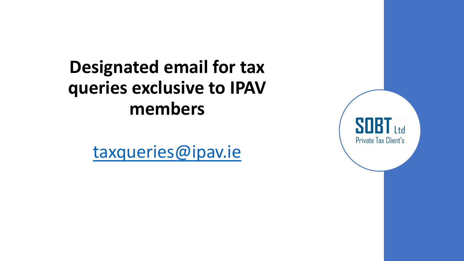## **Designated email for tax queries exclusive to IPAV members**

[taxqueries@ipav.ie](mailto:taxqueries@ipav.ie)

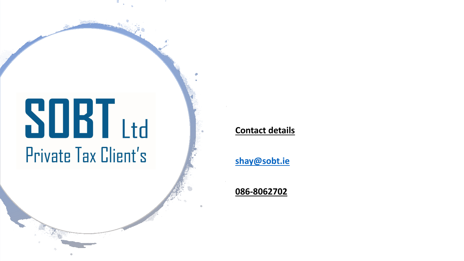## **SOBT** Ltd Private Tax Client's

#### **Contact details**

**[shay@sobt.ie](mailto:shay@sobt.ie)**

**086-8062702**